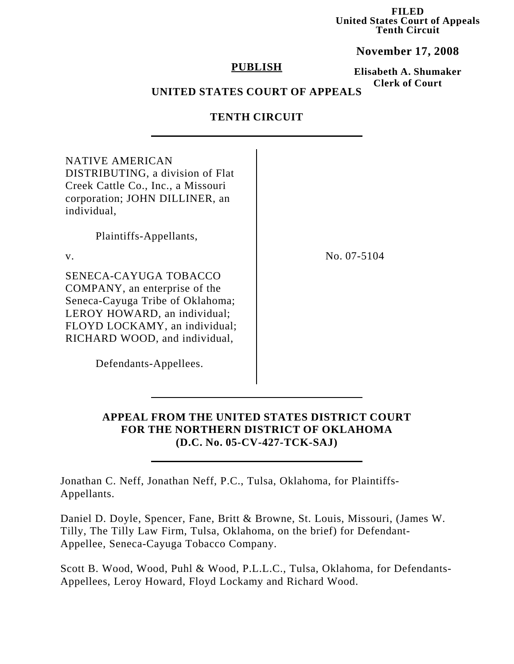**FILED United States Court of Appeals Tenth Circuit**

**November 17, 2008**

### **PUBLISH**

**Elisabeth A. Shumaker Clerk of Court**

# **UNITED STATES COURT OF APPEALS**

# **TENTH CIRCUIT**

| <b>NATIVE AMERICAN</b><br>DISTRIBUTING, a division of Flat<br>Creek Cattle Co., Inc., a Missouri<br>corporation; JOHN DILLINER, an<br>individual,                                            |               |
|----------------------------------------------------------------------------------------------------------------------------------------------------------------------------------------------|---------------|
| Plaintiffs-Appellants,                                                                                                                                                                       |               |
| $V_{\cdot}$                                                                                                                                                                                  | No. $07-5104$ |
| SENECA-CAYUGA TOBACCO<br>COMPANY, an enterprise of the<br>Seneca-Cayuga Tribe of Oklahoma;<br>LEROY HOWARD, an individual;<br>FLOYD LOCKAMY, an individual;<br>RICHARD WOOD, and individual, |               |
| Defendants-Appellees.                                                                                                                                                                        |               |

# **APPEAL FROM THE UNITED STATES DISTRICT COURT FOR THE NORTHERN DISTRICT OF OKLAHOMA (D.C. No. 05-CV-427-TCK-SAJ)**

Jonathan C. Neff, Jonathan Neff, P.C., Tulsa, Oklahoma, for Plaintiffs-Appellants.

Daniel D. Doyle, Spencer, Fane, Britt & Browne, St. Louis, Missouri, (James W. Tilly, The Tilly Law Firm, Tulsa, Oklahoma, on the brief) for Defendant-Appellee, Seneca-Cayuga Tobacco Company.

Scott B. Wood, Wood, Puhl & Wood, P.L.L.C., Tulsa, Oklahoma, for Defendants-Appellees, Leroy Howard, Floyd Lockamy and Richard Wood.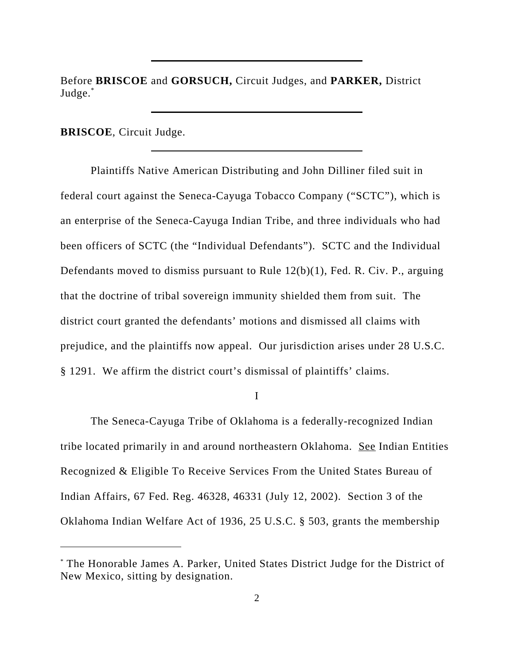Before **BRISCOE** and **GORSUCH,** Circuit Judges, and **PARKER,** District Judge.\*

**BRISCOE**, Circuit Judge.

Plaintiffs Native American Distributing and John Dilliner filed suit in federal court against the Seneca-Cayuga Tobacco Company ("SCTC"), which is an enterprise of the Seneca-Cayuga Indian Tribe, and three individuals who had been officers of SCTC (the "Individual Defendants"). SCTC and the Individual Defendants moved to dismiss pursuant to Rule 12(b)(1), Fed. R. Civ. P., arguing that the doctrine of tribal sovereign immunity shielded them from suit. The district court granted the defendants' motions and dismissed all claims with prejudice, and the plaintiffs now appeal. Our jurisdiction arises under 28 U.S.C. § 1291. We affirm the district court's dismissal of plaintiffs' claims.

I

The Seneca-Cayuga Tribe of Oklahoma is a federally-recognized Indian tribe located primarily in and around northeastern Oklahoma. See Indian Entities Recognized & Eligible To Receive Services From the United States Bureau of Indian Affairs, 67 Fed. Reg. 46328, 46331 (July 12, 2002). Section 3 of the Oklahoma Indian Welfare Act of 1936, 25 U.S.C. § 503, grants the membership

<sup>\*</sup> The Honorable James A. Parker, United States District Judge for the District of New Mexico, sitting by designation.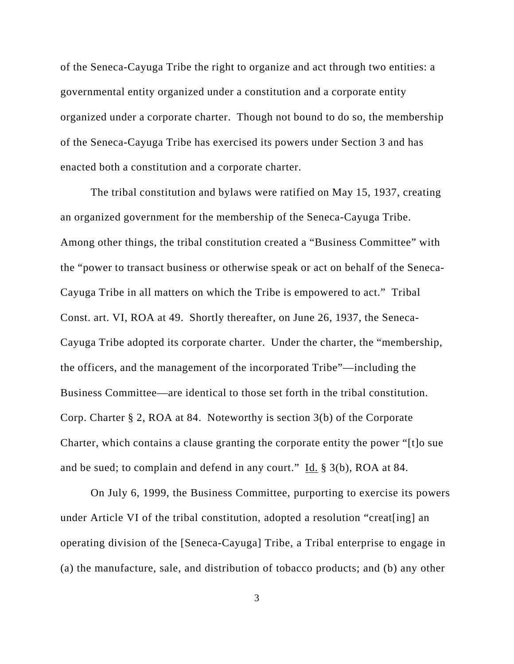of the Seneca-Cayuga Tribe the right to organize and act through two entities: a governmental entity organized under a constitution and a corporate entity organized under a corporate charter. Though not bound to do so, the membership of the Seneca-Cayuga Tribe has exercised its powers under Section 3 and has enacted both a constitution and a corporate charter.

The tribal constitution and bylaws were ratified on May 15, 1937, creating an organized government for the membership of the Seneca-Cayuga Tribe. Among other things, the tribal constitution created a "Business Committee" with the "power to transact business or otherwise speak or act on behalf of the Seneca-Cayuga Tribe in all matters on which the Tribe is empowered to act." Tribal Const. art. VI, ROA at 49. Shortly thereafter, on June 26, 1937, the Seneca-Cayuga Tribe adopted its corporate charter. Under the charter, the "membership, the officers, and the management of the incorporated Tribe"—including the Business Committee—are identical to those set forth in the tribal constitution. Corp. Charter § 2, ROA at 84. Noteworthy is section 3(b) of the Corporate Charter, which contains a clause granting the corporate entity the power "[t]o sue and be sued; to complain and defend in any court." Id. § 3(b), ROA at 84.

On July 6, 1999, the Business Committee, purporting to exercise its powers under Article VI of the tribal constitution, adopted a resolution "creat[ing] an operating division of the [Seneca-Cayuga] Tribe, a Tribal enterprise to engage in (a) the manufacture, sale, and distribution of tobacco products; and (b) any other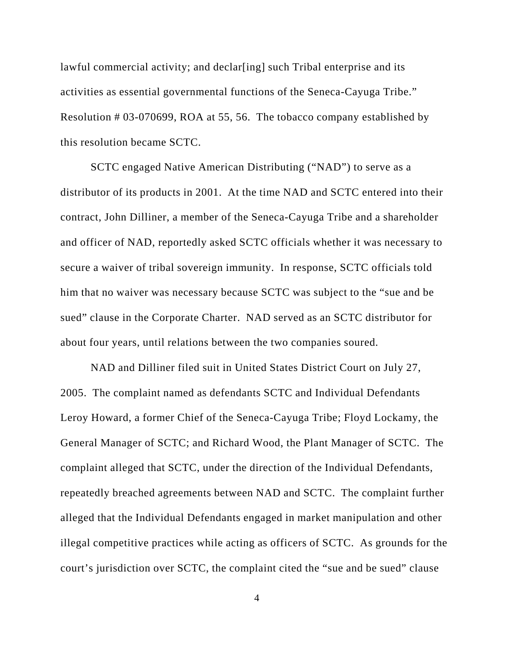lawful commercial activity; and declar[ing] such Tribal enterprise and its activities as essential governmental functions of the Seneca-Cayuga Tribe." Resolution # 03-070699, ROA at 55, 56. The tobacco company established by this resolution became SCTC.

SCTC engaged Native American Distributing ("NAD") to serve as a distributor of its products in 2001. At the time NAD and SCTC entered into their contract, John Dilliner, a member of the Seneca-Cayuga Tribe and a shareholder and officer of NAD, reportedly asked SCTC officials whether it was necessary to secure a waiver of tribal sovereign immunity. In response, SCTC officials told him that no waiver was necessary because SCTC was subject to the "sue and be sued" clause in the Corporate Charter. NAD served as an SCTC distributor for about four years, until relations between the two companies soured.

NAD and Dilliner filed suit in United States District Court on July 27, 2005. The complaint named as defendants SCTC and Individual Defendants Leroy Howard, a former Chief of the Seneca-Cayuga Tribe; Floyd Lockamy, the General Manager of SCTC; and Richard Wood, the Plant Manager of SCTC. The complaint alleged that SCTC, under the direction of the Individual Defendants, repeatedly breached agreements between NAD and SCTC. The complaint further alleged that the Individual Defendants engaged in market manipulation and other illegal competitive practices while acting as officers of SCTC. As grounds for the court's jurisdiction over SCTC, the complaint cited the "sue and be sued" clause

4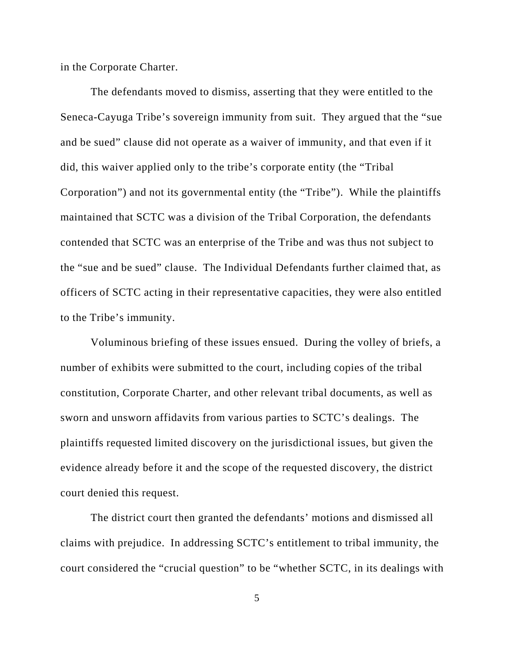in the Corporate Charter.

The defendants moved to dismiss, asserting that they were entitled to the Seneca-Cayuga Tribe's sovereign immunity from suit. They argued that the "sue and be sued" clause did not operate as a waiver of immunity, and that even if it did, this waiver applied only to the tribe's corporate entity (the "Tribal Corporation") and not its governmental entity (the "Tribe"). While the plaintiffs maintained that SCTC was a division of the Tribal Corporation, the defendants contended that SCTC was an enterprise of the Tribe and was thus not subject to the "sue and be sued" clause. The Individual Defendants further claimed that, as officers of SCTC acting in their representative capacities, they were also entitled to the Tribe's immunity.

Voluminous briefing of these issues ensued. During the volley of briefs, a number of exhibits were submitted to the court, including copies of the tribal constitution, Corporate Charter, and other relevant tribal documents, as well as sworn and unsworn affidavits from various parties to SCTC's dealings. The plaintiffs requested limited discovery on the jurisdictional issues, but given the evidence already before it and the scope of the requested discovery, the district court denied this request.

The district court then granted the defendants' motions and dismissed all claims with prejudice. In addressing SCTC's entitlement to tribal immunity, the court considered the "crucial question" to be "whether SCTC, in its dealings with

5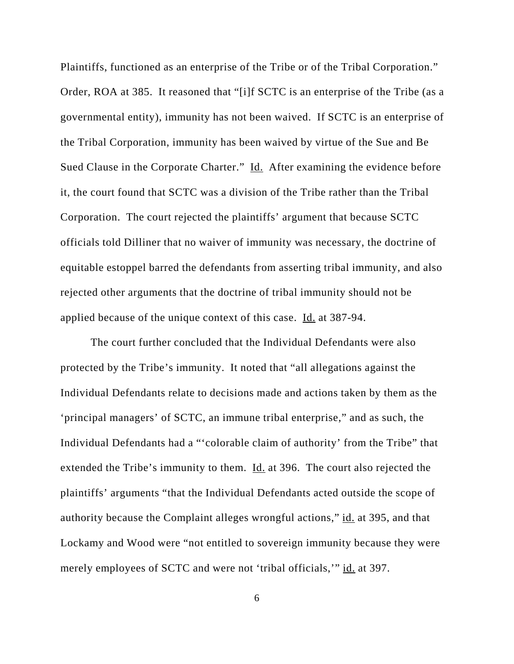Plaintiffs, functioned as an enterprise of the Tribe or of the Tribal Corporation." Order, ROA at 385. It reasoned that "[i]f SCTC is an enterprise of the Tribe (as a governmental entity), immunity has not been waived. If SCTC is an enterprise of the Tribal Corporation, immunity has been waived by virtue of the Sue and Be Sued Clause in the Corporate Charter." Id. After examining the evidence before it, the court found that SCTC was a division of the Tribe rather than the Tribal Corporation. The court rejected the plaintiffs' argument that because SCTC officials told Dilliner that no waiver of immunity was necessary, the doctrine of equitable estoppel barred the defendants from asserting tribal immunity, and also rejected other arguments that the doctrine of tribal immunity should not be applied because of the unique context of this case. Id. at 387-94.

The court further concluded that the Individual Defendants were also protected by the Tribe's immunity. It noted that "all allegations against the Individual Defendants relate to decisions made and actions taken by them as the 'principal managers' of SCTC, an immune tribal enterprise," and as such, the Individual Defendants had a "'colorable claim of authority' from the Tribe" that extended the Tribe's immunity to them. Id. at 396. The court also rejected the plaintiffs' arguments "that the Individual Defendants acted outside the scope of authority because the Complaint alleges wrongful actions," id. at 395, and that Lockamy and Wood were "not entitled to sovereign immunity because they were merely employees of SCTC and were not 'tribal officials,'" id. at 397.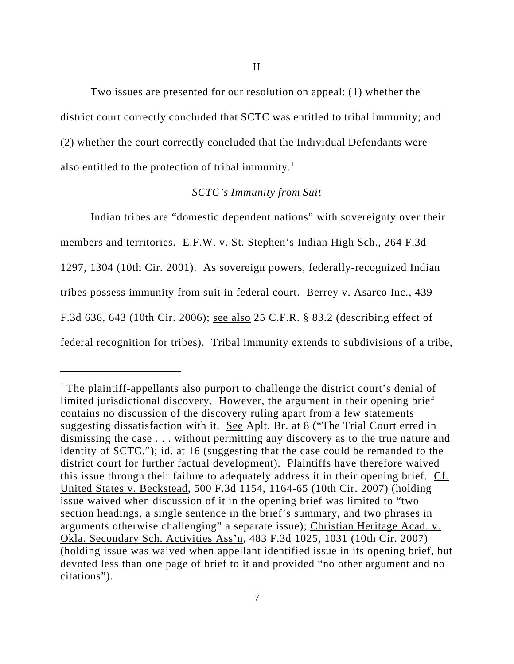Two issues are presented for our resolution on appeal: (1) whether the district court correctly concluded that SCTC was entitled to tribal immunity; and (2) whether the court correctly concluded that the Individual Defendants were also entitled to the protection of tribal immunity.<sup>1</sup>

#### *SCTC's Immunity from Suit*

Indian tribes are "domestic dependent nations" with sovereignty over their members and territories. E.F.W. v. St. Stephen's Indian High Sch., 264 F.3d 1297, 1304 (10th Cir. 2001). As sovereign powers, federally-recognized Indian tribes possess immunity from suit in federal court. Berrey v. Asarco Inc., 439 F.3d 636, 643 (10th Cir. 2006); see also 25 C.F.R. § 83.2 (describing effect of federal recognition for tribes). Tribal immunity extends to subdivisions of a tribe,

<sup>&</sup>lt;sup>1</sup> The plaintiff-appellants also purport to challenge the district court's denial of limited jurisdictional discovery. However, the argument in their opening brief contains no discussion of the discovery ruling apart from a few statements suggesting dissatisfaction with it. See Aplt. Br. at 8 ("The Trial Court erred in dismissing the case . . . without permitting any discovery as to the true nature and identity of SCTC."); id. at 16 (suggesting that the case could be remanded to the district court for further factual development). Plaintiffs have therefore waived this issue through their failure to adequately address it in their opening brief. Cf. United States v. Beckstead, 500 F.3d 1154, 1164-65 (10th Cir. 2007) (holding issue waived when discussion of it in the opening brief was limited to "two section headings, a single sentence in the brief's summary, and two phrases in arguments otherwise challenging" a separate issue); Christian Heritage Acad. v. Okla. Secondary Sch. Activities Ass'n, 483 F.3d 1025, 1031 (10th Cir. 2007) (holding issue was waived when appellant identified issue in its opening brief, but devoted less than one page of brief to it and provided "no other argument and no citations").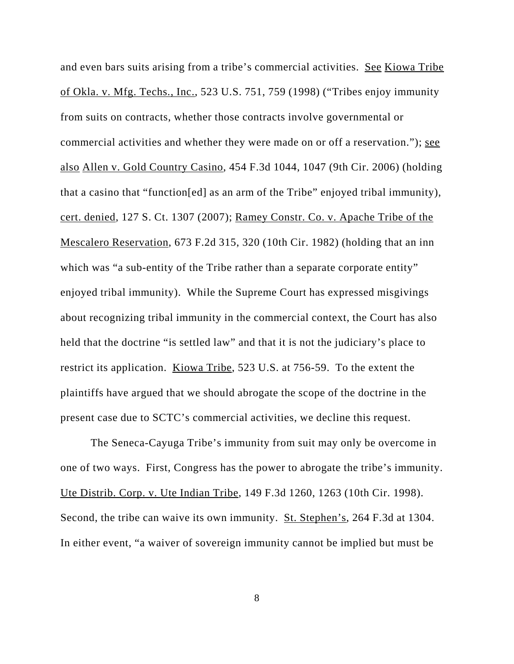and even bars suits arising from a tribe's commercial activities. See Kiowa Tribe of Okla. v. Mfg. Techs., Inc., 523 U.S. 751, 759 (1998) ("Tribes enjoy immunity from suits on contracts, whether those contracts involve governmental or commercial activities and whether they were made on or off a reservation."); see also Allen v. Gold Country Casino, 454 F.3d 1044, 1047 (9th Cir. 2006) (holding that a casino that "function[ed] as an arm of the Tribe" enjoyed tribal immunity), cert. denied, 127 S. Ct. 1307 (2007); Ramey Constr. Co. v. Apache Tribe of the Mescalero Reservation, 673 F.2d 315, 320 (10th Cir. 1982) (holding that an inn which was "a sub-entity of the Tribe rather than a separate corporate entity" enjoyed tribal immunity). While the Supreme Court has expressed misgivings about recognizing tribal immunity in the commercial context, the Court has also held that the doctrine "is settled law" and that it is not the judiciary's place to restrict its application. Kiowa Tribe, 523 U.S. at 756-59. To the extent the plaintiffs have argued that we should abrogate the scope of the doctrine in the present case due to SCTC's commercial activities, we decline this request.

The Seneca-Cayuga Tribe's immunity from suit may only be overcome in one of two ways. First, Congress has the power to abrogate the tribe's immunity. Ute Distrib. Corp. v. Ute Indian Tribe, 149 F.3d 1260, 1263 (10th Cir. 1998). Second, the tribe can waive its own immunity. St. Stephen's, 264 F.3d at 1304. In either event, "a waiver of sovereign immunity cannot be implied but must be

8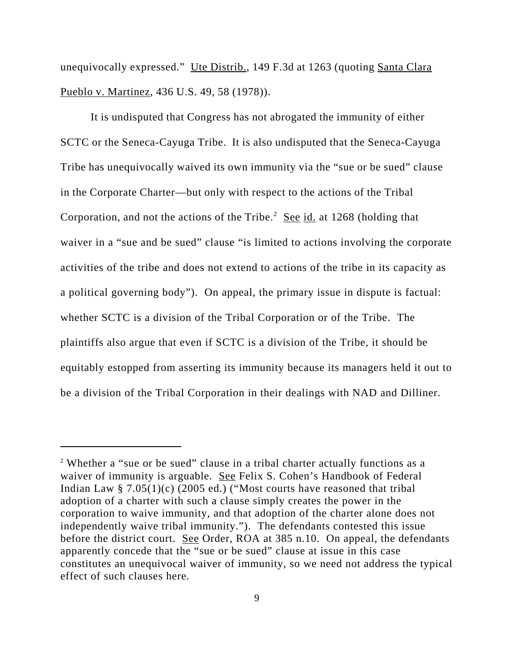unequivocally expressed." Ute Distrib., 149 F.3d at 1263 (quoting Santa Clara) Pueblo v. Martinez, 436 U.S. 49, 58 (1978)).

It is undisputed that Congress has not abrogated the immunity of either SCTC or the Seneca-Cayuga Tribe. It is also undisputed that the Seneca-Cayuga Tribe has unequivocally waived its own immunity via the "sue or be sued" clause in the Corporate Charter—but only with respect to the actions of the Tribal Corporation, and not the actions of the Tribe.<sup>2</sup> See id. at 1268 (holding that waiver in a "sue and be sued" clause "is limited to actions involving the corporate activities of the tribe and does not extend to actions of the tribe in its capacity as a political governing body"). On appeal, the primary issue in dispute is factual: whether SCTC is a division of the Tribal Corporation or of the Tribe. The plaintiffs also argue that even if SCTC is a division of the Tribe, it should be equitably estopped from asserting its immunity because its managers held it out to be a division of the Tribal Corporation in their dealings with NAD and Dilliner.

<sup>&</sup>lt;sup>2</sup> Whether a "sue or be sued" clause in a tribal charter actually functions as a waiver of immunity is arguable. See Felix S. Cohen's Handbook of Federal Indian Law  $\S$  7.05(1)(c) (2005 ed.) ("Most courts have reasoned that tribal adoption of a charter with such a clause simply creates the power in the corporation to waive immunity, and that adoption of the charter alone does not independently waive tribal immunity."). The defendants contested this issue before the district court. See Order, ROA at 385 n.10. On appeal, the defendants apparently concede that the "sue or be sued" clause at issue in this case constitutes an unequivocal waiver of immunity, so we need not address the typical effect of such clauses here.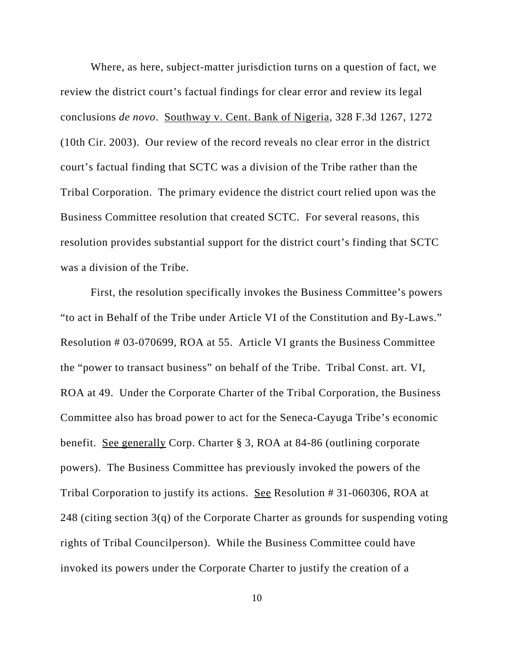Where, as here, subject-matter jurisdiction turns on a question of fact, we review the district court's factual findings for clear error and review its legal conclusions *de novo*. Southway v. Cent. Bank of Nigeria, 328 F.3d 1267, 1272 (10th Cir. 2003). Our review of the record reveals no clear error in the district court's factual finding that SCTC was a division of the Tribe rather than the Tribal Corporation. The primary evidence the district court relied upon was the Business Committee resolution that created SCTC. For several reasons, this resolution provides substantial support for the district court's finding that SCTC was a division of the Tribe.

First, the resolution specifically invokes the Business Committee's powers "to act in Behalf of the Tribe under Article VI of the Constitution and By-Laws." Resolution # 03-070699, ROA at 55. Article VI grants the Business Committee the "power to transact business" on behalf of the Tribe. Tribal Const. art. VI, ROA at 49. Under the Corporate Charter of the Tribal Corporation, the Business Committee also has broad power to act for the Seneca-Cayuga Tribe's economic benefit. See generally Corp. Charter § 3, ROA at 84-86 (outlining corporate powers). The Business Committee has previously invoked the powers of the Tribal Corporation to justify its actions. See Resolution # 31-060306, ROA at 248 (citing section 3(q) of the Corporate Charter as grounds for suspending voting rights of Tribal Councilperson). While the Business Committee could have invoked its powers under the Corporate Charter to justify the creation of a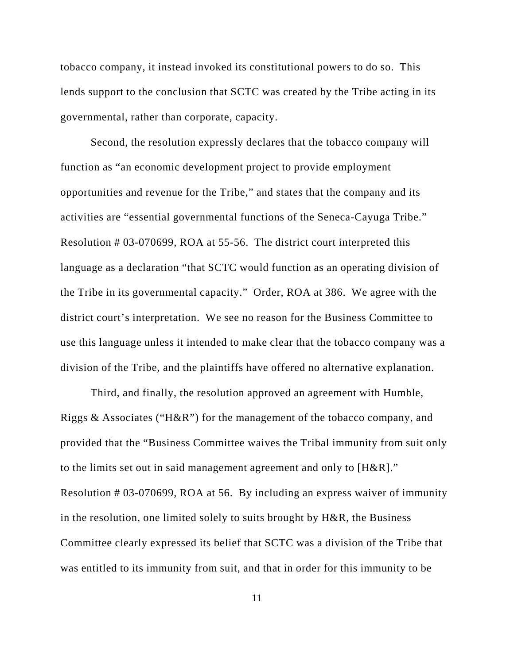tobacco company, it instead invoked its constitutional powers to do so. This lends support to the conclusion that SCTC was created by the Tribe acting in its governmental, rather than corporate, capacity.

Second, the resolution expressly declares that the tobacco company will function as "an economic development project to provide employment opportunities and revenue for the Tribe," and states that the company and its activities are "essential governmental functions of the Seneca-Cayuga Tribe." Resolution # 03-070699, ROA at 55-56. The district court interpreted this language as a declaration "that SCTC would function as an operating division of the Tribe in its governmental capacity." Order, ROA at 386. We agree with the district court's interpretation. We see no reason for the Business Committee to use this language unless it intended to make clear that the tobacco company was a division of the Tribe, and the plaintiffs have offered no alternative explanation.

Third, and finally, the resolution approved an agreement with Humble, Riggs & Associates ("H&R") for the management of the tobacco company, and provided that the "Business Committee waives the Tribal immunity from suit only to the limits set out in said management agreement and only to [H&R]." Resolution # 03-070699, ROA at 56. By including an express waiver of immunity in the resolution, one limited solely to suits brought by H&R, the Business Committee clearly expressed its belief that SCTC was a division of the Tribe that was entitled to its immunity from suit, and that in order for this immunity to be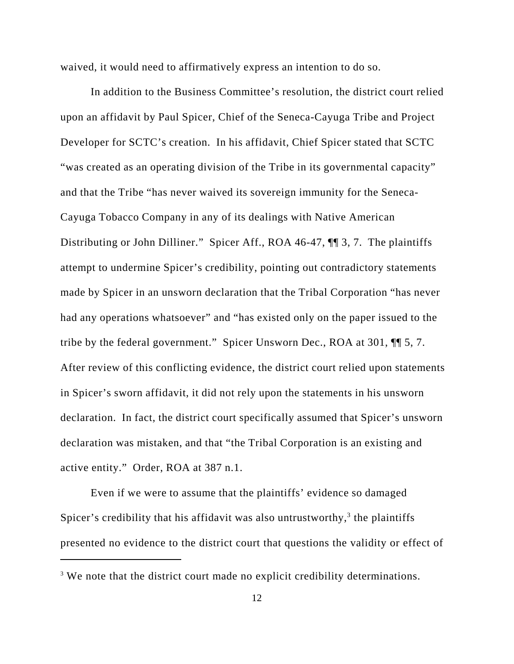waived, it would need to affirmatively express an intention to do so.

In addition to the Business Committee's resolution, the district court relied upon an affidavit by Paul Spicer, Chief of the Seneca-Cayuga Tribe and Project Developer for SCTC's creation. In his affidavit, Chief Spicer stated that SCTC "was created as an operating division of the Tribe in its governmental capacity" and that the Tribe "has never waived its sovereign immunity for the Seneca-Cayuga Tobacco Company in any of its dealings with Native American Distributing or John Dilliner." Spicer Aff., ROA 46-47,  $\P$  3, 7. The plaintiffs attempt to undermine Spicer's credibility, pointing out contradictory statements made by Spicer in an unsworn declaration that the Tribal Corporation "has never had any operations whatsoever" and "has existed only on the paper issued to the tribe by the federal government." Spicer Unsworn Dec., ROA at 301, ¶¶ 5, 7. After review of this conflicting evidence, the district court relied upon statements in Spicer's sworn affidavit, it did not rely upon the statements in his unsworn declaration. In fact, the district court specifically assumed that Spicer's unsworn declaration was mistaken, and that "the Tribal Corporation is an existing and active entity." Order, ROA at 387 n.1.

Even if we were to assume that the plaintiffs' evidence so damaged Spicer's credibility that his affidavit was also untrustworthy,<sup>3</sup> the plaintiffs presented no evidence to the district court that questions the validity or effect of

<sup>&</sup>lt;sup>3</sup> We note that the district court made no explicit credibility determinations.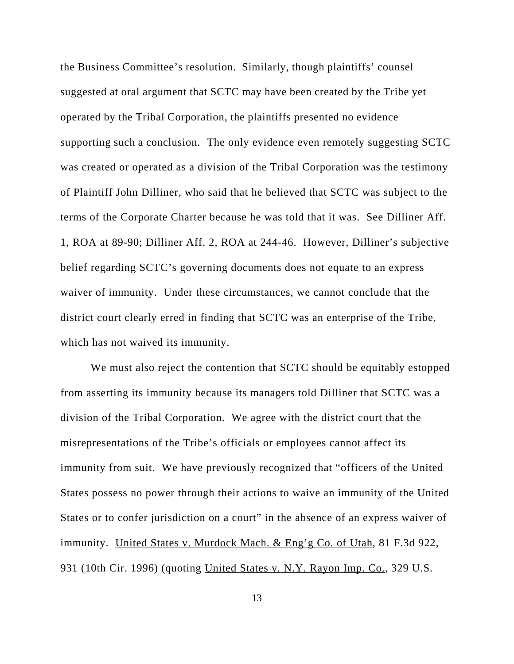the Business Committee's resolution. Similarly, though plaintiffs' counsel suggested at oral argument that SCTC may have been created by the Tribe yet operated by the Tribal Corporation, the plaintiffs presented no evidence supporting such a conclusion. The only evidence even remotely suggesting SCTC was created or operated as a division of the Tribal Corporation was the testimony of Plaintiff John Dilliner, who said that he believed that SCTC was subject to the terms of the Corporate Charter because he was told that it was. See Dilliner Aff. 1, ROA at 89-90; Dilliner Aff. 2, ROA at 244-46. However, Dilliner's subjective belief regarding SCTC's governing documents does not equate to an express waiver of immunity. Under these circumstances, we cannot conclude that the district court clearly erred in finding that SCTC was an enterprise of the Tribe, which has not waived its immunity.

We must also reject the contention that SCTC should be equitably estopped from asserting its immunity because its managers told Dilliner that SCTC was a division of the Tribal Corporation. We agree with the district court that the misrepresentations of the Tribe's officials or employees cannot affect its immunity from suit. We have previously recognized that "officers of the United States possess no power through their actions to waive an immunity of the United States or to confer jurisdiction on a court" in the absence of an express waiver of immunity. United States v. Murdock Mach. & Eng'g Co. of Utah, 81 F.3d 922, 931 (10th Cir. 1996) (quoting United States v. N.Y. Rayon Imp. Co., 329 U.S.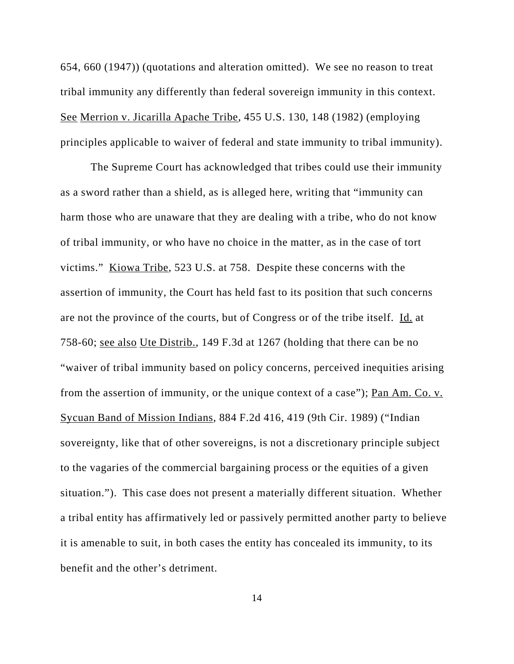654, 660 (1947)) (quotations and alteration omitted). We see no reason to treat tribal immunity any differently than federal sovereign immunity in this context. See Merrion v. Jicarilla Apache Tribe, 455 U.S. 130, 148 (1982) (employing principles applicable to waiver of federal and state immunity to tribal immunity).

The Supreme Court has acknowledged that tribes could use their immunity as a sword rather than a shield, as is alleged here, writing that "immunity can harm those who are unaware that they are dealing with a tribe, who do not know of tribal immunity, or who have no choice in the matter, as in the case of tort victims." Kiowa Tribe, 523 U.S. at 758. Despite these concerns with the assertion of immunity, the Court has held fast to its position that such concerns are not the province of the courts, but of Congress or of the tribe itself. Id. at 758-60; see also Ute Distrib., 149 F.3d at 1267 (holding that there can be no "waiver of tribal immunity based on policy concerns, perceived inequities arising from the assertion of immunity, or the unique context of a case"); Pan Am. Co. v. Sycuan Band of Mission Indians, 884 F.2d 416, 419 (9th Cir. 1989) ("Indian sovereignty, like that of other sovereigns, is not a discretionary principle subject to the vagaries of the commercial bargaining process or the equities of a given situation."). This case does not present a materially different situation. Whether a tribal entity has affirmatively led or passively permitted another party to believe it is amenable to suit, in both cases the entity has concealed its immunity, to its benefit and the other's detriment.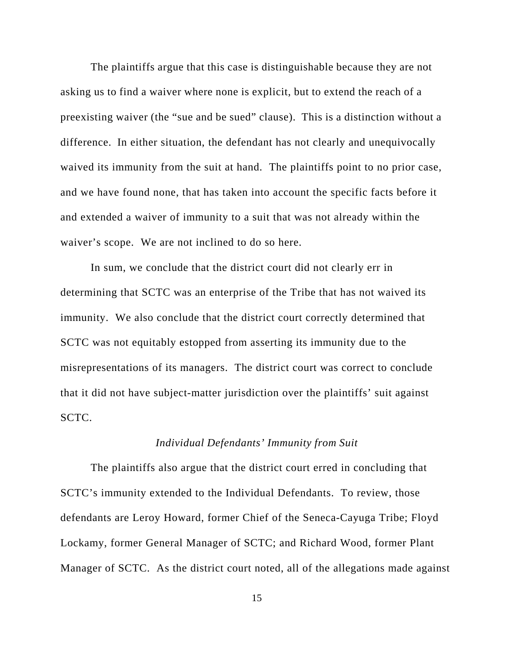The plaintiffs argue that this case is distinguishable because they are not asking us to find a waiver where none is explicit, but to extend the reach of a preexisting waiver (the "sue and be sued" clause). This is a distinction without a difference. In either situation, the defendant has not clearly and unequivocally waived its immunity from the suit at hand. The plaintiffs point to no prior case, and we have found none, that has taken into account the specific facts before it and extended a waiver of immunity to a suit that was not already within the waiver's scope. We are not inclined to do so here.

In sum, we conclude that the district court did not clearly err in determining that SCTC was an enterprise of the Tribe that has not waived its immunity. We also conclude that the district court correctly determined that SCTC was not equitably estopped from asserting its immunity due to the misrepresentations of its managers. The district court was correct to conclude that it did not have subject-matter jurisdiction over the plaintiffs' suit against SCTC.

#### *Individual Defendants' Immunity from Suit*

The plaintiffs also argue that the district court erred in concluding that SCTC's immunity extended to the Individual Defendants. To review, those defendants are Leroy Howard, former Chief of the Seneca-Cayuga Tribe; Floyd Lockamy, former General Manager of SCTC; and Richard Wood, former Plant Manager of SCTC. As the district court noted, all of the allegations made against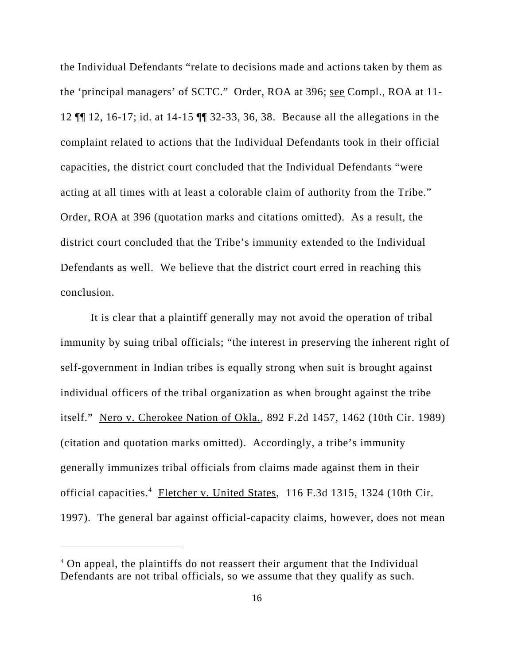the Individual Defendants "relate to decisions made and actions taken by them as the 'principal managers' of SCTC." Order, ROA at 396; see Compl., ROA at 11- 12 ¶¶ 12, 16-17; id. at 14-15 ¶¶ 32-33, 36, 38. Because all the allegations in the complaint related to actions that the Individual Defendants took in their official capacities, the district court concluded that the Individual Defendants "were acting at all times with at least a colorable claim of authority from the Tribe." Order, ROA at 396 (quotation marks and citations omitted). As a result, the district court concluded that the Tribe's immunity extended to the Individual Defendants as well. We believe that the district court erred in reaching this conclusion.

It is clear that a plaintiff generally may not avoid the operation of tribal immunity by suing tribal officials; "the interest in preserving the inherent right of self-government in Indian tribes is equally strong when suit is brought against individual officers of the tribal organization as when brought against the tribe itself." Nero v. Cherokee Nation of Okla., 892 F.2d 1457, 1462 (10th Cir. 1989) (citation and quotation marks omitted). Accordingly, a tribe's immunity generally immunizes tribal officials from claims made against them in their official capacities.<sup>4</sup> Fletcher v. United States, 116 F.3d 1315, 1324 (10th Cir. 1997). The general bar against official-capacity claims, however, does not mean

<sup>&</sup>lt;sup>4</sup> On appeal, the plaintiffs do not reassert their argument that the Individual Defendants are not tribal officials, so we assume that they qualify as such.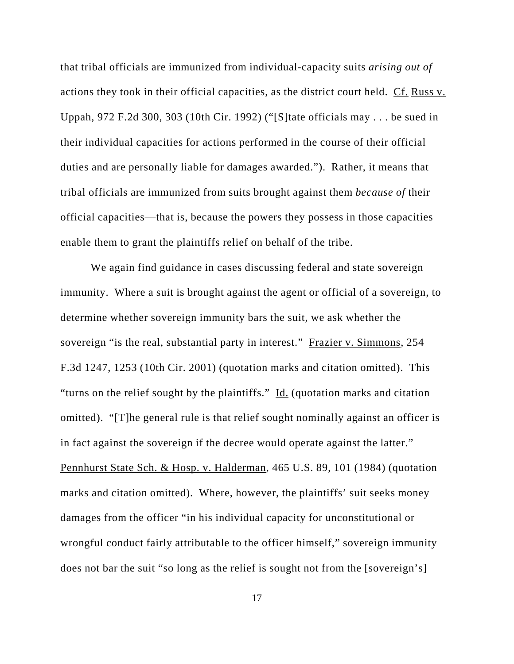that tribal officials are immunized from individual-capacity suits *arising out of* actions they took in their official capacities, as the district court held. Cf. Russ v. Uppah, 972 F.2d 300, 303 (10th Cir. 1992) ("[S]tate officials may . . . be sued in their individual capacities for actions performed in the course of their official duties and are personally liable for damages awarded."). Rather, it means that tribal officials are immunized from suits brought against them *because of* their official capacities—that is, because the powers they possess in those capacities enable them to grant the plaintiffs relief on behalf of the tribe.

We again find guidance in cases discussing federal and state sovereign immunity. Where a suit is brought against the agent or official of a sovereign, to determine whether sovereign immunity bars the suit, we ask whether the sovereign "is the real, substantial party in interest." Frazier v. Simmons, 254 F.3d 1247, 1253 (10th Cir. 2001) (quotation marks and citation omitted). This "turns on the relief sought by the plaintiffs." Id. (quotation marks and citation omitted). "[T]he general rule is that relief sought nominally against an officer is in fact against the sovereign if the decree would operate against the latter." Pennhurst State Sch. & Hosp. v. Halderman, 465 U.S. 89, 101 (1984) (quotation marks and citation omitted). Where, however, the plaintiffs' suit seeks money damages from the officer "in his individual capacity for unconstitutional or wrongful conduct fairly attributable to the officer himself," sovereign immunity does not bar the suit "so long as the relief is sought not from the [sovereign's]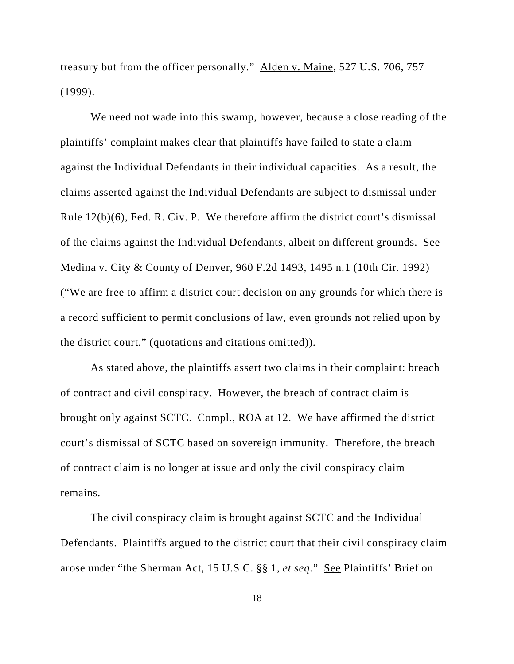treasury but from the officer personally." Alden v. Maine, 527 U.S. 706, 757 (1999).

We need not wade into this swamp, however, because a close reading of the plaintiffs' complaint makes clear that plaintiffs have failed to state a claim against the Individual Defendants in their individual capacities. As a result, the claims asserted against the Individual Defendants are subject to dismissal under Rule 12(b)(6), Fed. R. Civ. P. We therefore affirm the district court's dismissal of the claims against the Individual Defendants, albeit on different grounds. See Medina v. City & County of Denver, 960 F.2d 1493, 1495 n.1 (10th Cir. 1992) ("We are free to affirm a district court decision on any grounds for which there is a record sufficient to permit conclusions of law, even grounds not relied upon by the district court." (quotations and citations omitted)).

As stated above, the plaintiffs assert two claims in their complaint: breach of contract and civil conspiracy. However, the breach of contract claim is brought only against SCTC. Compl., ROA at 12. We have affirmed the district court's dismissal of SCTC based on sovereign immunity. Therefore, the breach of contract claim is no longer at issue and only the civil conspiracy claim remains.

The civil conspiracy claim is brought against SCTC and the Individual Defendants. Plaintiffs argued to the district court that their civil conspiracy claim arose under "the Sherman Act, 15 U.S.C. §§ 1, *et seq.*" See Plaintiffs' Brief on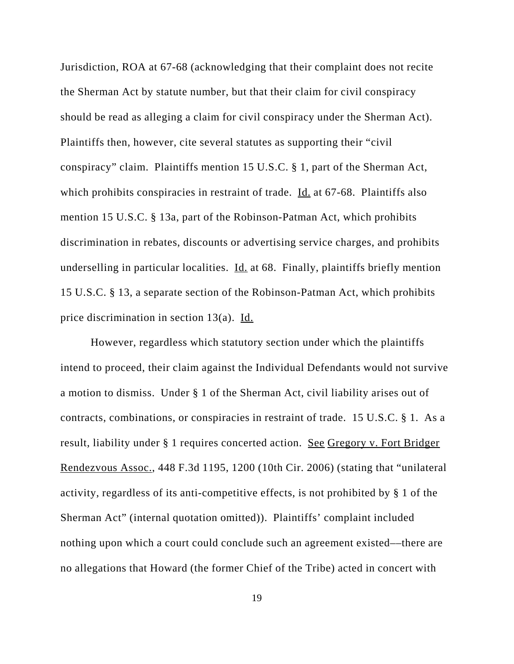Jurisdiction, ROA at 67-68 (acknowledging that their complaint does not recite the Sherman Act by statute number, but that their claim for civil conspiracy should be read as alleging a claim for civil conspiracy under the Sherman Act). Plaintiffs then, however, cite several statutes as supporting their "civil conspiracy" claim. Plaintiffs mention 15 U.S.C. § 1, part of the Sherman Act, which prohibits conspiracies in restraint of trade. Id. at 67-68. Plaintiffs also mention 15 U.S.C. § 13a, part of the Robinson-Patman Act, which prohibits discrimination in rebates, discounts or advertising service charges, and prohibits underselling in particular localities. Id. at 68. Finally, plaintiffs briefly mention 15 U.S.C. § 13, a separate section of the Robinson-Patman Act, which prohibits price discrimination in section 13(a).  $\underline{Id}$ .

However, regardless which statutory section under which the plaintiffs intend to proceed, their claim against the Individual Defendants would not survive a motion to dismiss. Under § 1 of the Sherman Act, civil liability arises out of contracts, combinations, or conspiracies in restraint of trade. 15 U.S.C. § 1. As a result, liability under § 1 requires concerted action. See Gregory v. Fort Bridger Rendezvous Assoc., 448 F.3d 1195, 1200 (10th Cir. 2006) (stating that "unilateral activity, regardless of its anti-competitive effects, is not prohibited by § 1 of the Sherman Act" (internal quotation omitted)). Plaintiffs' complaint included nothing upon which a court could conclude such an agreement existed––there are no allegations that Howard (the former Chief of the Tribe) acted in concert with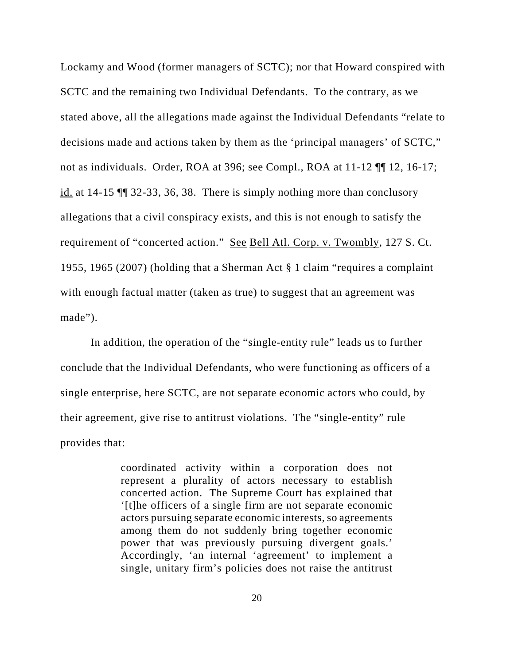Lockamy and Wood (former managers of SCTC); nor that Howard conspired with SCTC and the remaining two Individual Defendants. To the contrary, as we stated above, all the allegations made against the Individual Defendants "relate to decisions made and actions taken by them as the 'principal managers' of SCTC," not as individuals. Order, ROA at 396; see Compl., ROA at 11-12 ¶¶ 12, 16-17; id. at 14-15 ¶¶ 32-33, 36, 38. There is simply nothing more than conclusory allegations that a civil conspiracy exists, and this is not enough to satisfy the requirement of "concerted action." See Bell Atl. Corp. v. Twombly, 127 S. Ct. 1955, 1965 (2007) (holding that a Sherman Act § 1 claim "requires a complaint with enough factual matter (taken as true) to suggest that an agreement was made").

In addition, the operation of the "single-entity rule" leads us to further conclude that the Individual Defendants, who were functioning as officers of a single enterprise, here SCTC, are not separate economic actors who could, by their agreement, give rise to antitrust violations. The "single-entity" rule provides that:

> coordinated activity within a corporation does not represent a plurality of actors necessary to establish concerted action. The Supreme Court has explained that '[t]he officers of a single firm are not separate economic actors pursuing separate economic interests, so agreements among them do not suddenly bring together economic power that was previously pursuing divergent goals.' Accordingly, 'an internal 'agreement' to implement a single, unitary firm's policies does not raise the antitrust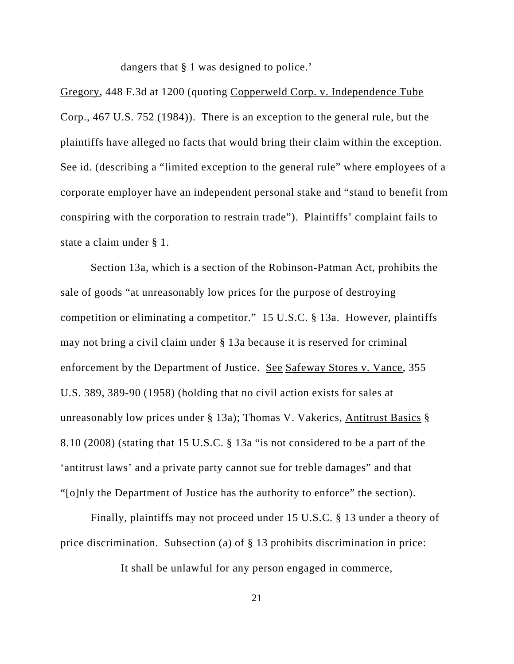dangers that § 1 was designed to police.'

Gregory, 448 F.3d at 1200 (quoting Copperweld Corp. v. Independence Tube Corp., 467 U.S. 752 (1984)). There is an exception to the general rule, but the plaintiffs have alleged no facts that would bring their claim within the exception. See id. (describing a "limited exception to the general rule" where employees of a corporate employer have an independent personal stake and "stand to benefit from conspiring with the corporation to restrain trade"). Plaintiffs' complaint fails to state a claim under § 1.

Section 13a, which is a section of the Robinson-Patman Act, prohibits the sale of goods "at unreasonably low prices for the purpose of destroying competition or eliminating a competitor." 15 U.S.C. § 13a. However, plaintiffs may not bring a civil claim under § 13a because it is reserved for criminal enforcement by the Department of Justice. See Safeway Stores v. Vance, 355 U.S. 389, 389-90 (1958) (holding that no civil action exists for sales at unreasonably low prices under § 13a); Thomas V. Vakerics, Antitrust Basics § 8.10 (2008) (stating that 15 U.S.C. § 13a "is not considered to be a part of the 'antitrust laws' and a private party cannot sue for treble damages" and that "[o]nly the Department of Justice has the authority to enforce" the section).

Finally, plaintiffs may not proceed under 15 U.S.C. § 13 under a theory of price discrimination. Subsection (a) of § 13 prohibits discrimination in price:

It shall be unlawful for any person engaged in commerce,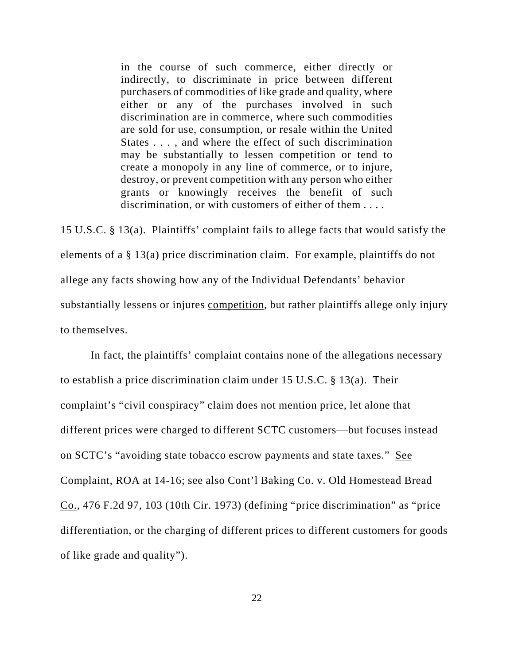in the course of such commerce, either directly or indirectly, to discriminate in price between different purchasers of commodities of like grade and quality, where either or any of the purchases involved in such discrimination are in commerce, where such commodities are sold for use, consumption, or resale within the United States . . . , and where the effect of such discrimination may be substantially to lessen competition or tend to create a monopoly in any line of commerce, or to injure, destroy, or prevent competition with any person who either grants or knowingly receives the benefit of such discrimination, or with customers of either of them . . . .

15 U.S.C. § 13(a). Plaintiffs' complaint fails to allege facts that would satisfy the elements of a § 13(a) price discrimination claim. For example, plaintiffs do not allege any facts showing how any of the Individual Defendants' behavior substantially lessens or injures competition, but rather plaintiffs allege only injury to themselves.

In fact, the plaintiffs' complaint contains none of the allegations necessary to establish a price discrimination claim under 15 U.S.C. § 13(a). Their complaint's "civil conspiracy" claim does not mention price, let alone that different prices were charged to different SCTC customers––but focuses instead on SCTC's "avoiding state tobacco escrow payments and state taxes." See Complaint, ROA at 14-16; see also Cont'l Baking Co. v. Old Homestead Bread Co., 476 F.2d 97, 103 (10th Cir. 1973) (defining "price discrimination" as "price differentiation, or the charging of different prices to different customers for goods of like grade and quality").